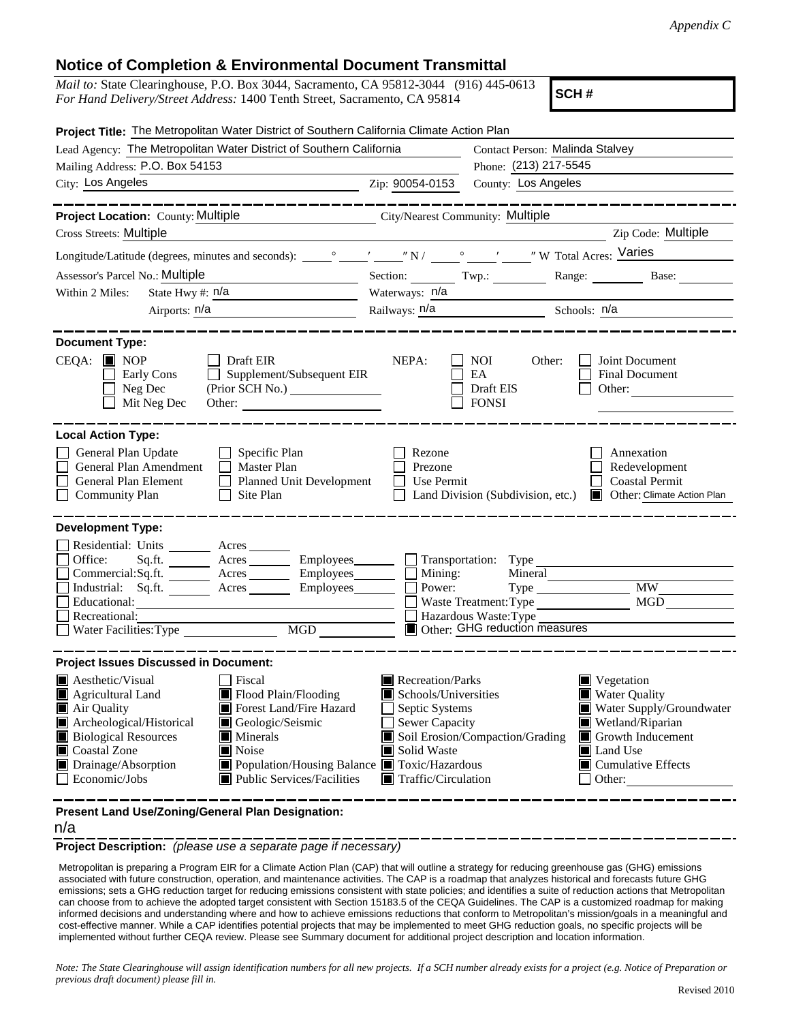## **Notice of Completion & Environmental Document Transmittal**

| <i>Mail to:</i> State Clearinghouse, P.O. Box 3044, Sacramento, CA 95812-3044 (916) 445-0613 |  |
|----------------------------------------------------------------------------------------------|--|
| <i>For Hand Delivery/Street Address:</i> 1400 Tenth Street, Sacramento, CA 95814             |  |

**SCH #**

| Project Title: The Metropolitan Water District of Southern California Climate Action Plan                                                                                                                                                                                                                                                                                                     |                                                                                                                                                                                                                                                                                                                                 |                                                                                                                                           |                                                                                    |  |
|-----------------------------------------------------------------------------------------------------------------------------------------------------------------------------------------------------------------------------------------------------------------------------------------------------------------------------------------------------------------------------------------------|---------------------------------------------------------------------------------------------------------------------------------------------------------------------------------------------------------------------------------------------------------------------------------------------------------------------------------|-------------------------------------------------------------------------------------------------------------------------------------------|------------------------------------------------------------------------------------|--|
| Lead Agency: The Metropolitan Water District of Southern California                                                                                                                                                                                                                                                                                                                           | Contact Person: Malinda Stalvey                                                                                                                                                                                                                                                                                                 |                                                                                                                                           |                                                                                    |  |
| Mailing Address: P.O. Box 54153                                                                                                                                                                                                                                                                                                                                                               | Phone: (213) 217-5545                                                                                                                                                                                                                                                                                                           |                                                                                                                                           |                                                                                    |  |
| City: Los Angeles<br>Zip: 90054-0153                                                                                                                                                                                                                                                                                                                                                          |                                                                                                                                                                                                                                                                                                                                 | County: Los Angeles                                                                                                                       |                                                                                    |  |
| ------------                                                                                                                                                                                                                                                                                                                                                                                  |                                                                                                                                                                                                                                                                                                                                 |                                                                                                                                           | --------------                                                                     |  |
| <b>Project Location:</b> County: Multiple City/Nearest Community: Multiple                                                                                                                                                                                                                                                                                                                    |                                                                                                                                                                                                                                                                                                                                 |                                                                                                                                           |                                                                                    |  |
| Cross Streets: Multiple                                                                                                                                                                                                                                                                                                                                                                       |                                                                                                                                                                                                                                                                                                                                 |                                                                                                                                           | Zip Code: Multiple                                                                 |  |
|                                                                                                                                                                                                                                                                                                                                                                                               |                                                                                                                                                                                                                                                                                                                                 |                                                                                                                                           |                                                                                    |  |
| Assessor's Parcel No.: Multiple<br><u> 1989 - Johann Barn, fransk politik (</u>                                                                                                                                                                                                                                                                                                               |                                                                                                                                                                                                                                                                                                                                 |                                                                                                                                           | Section: Twp.: Range: Base: Base:                                                  |  |
| State Hwy #: $n/a$<br>Within 2 Miles:                                                                                                                                                                                                                                                                                                                                                         | Waterways: n/a                                                                                                                                                                                                                                                                                                                  |                                                                                                                                           |                                                                                    |  |
| Airports: n/a<br><u> 1980 - Johann Barbara, martin a</u>                                                                                                                                                                                                                                                                                                                                      |                                                                                                                                                                                                                                                                                                                                 |                                                                                                                                           | Railways: <u>n/a Schools: n/a</u>                                                  |  |
|                                                                                                                                                                                                                                                                                                                                                                                               |                                                                                                                                                                                                                                                                                                                                 |                                                                                                                                           |                                                                                    |  |
| <b>Document Type:</b><br>$CEQA: \blacksquare$ NOP<br>$\Box$ Draft EIR<br>Supplement/Subsequent EIR<br>Early Cons<br>Neg Dec<br>Mit Neg Dec<br>Other:                                                                                                                                                                                                                                          | NEPA:                                                                                                                                                                                                                                                                                                                           | NOI<br>Other:<br>EA<br>Draft EIS<br><b>FONSI</b>                                                                                          | Joint Document<br>Final Document<br>Other:                                         |  |
| <b>Local Action Type:</b><br>General Plan Update<br>$\Box$ Specific Plan<br>General Plan Amendment<br>Master Plan<br>General Plan Element<br>Planned Unit Development<br>Site Plan<br><b>Community Plan</b>                                                                                                                                                                                   | Rezone<br>Prezone<br>Use Permit<br>$\mathsf{L}$                                                                                                                                                                                                                                                                                 | Land Division (Subdivision, etc.)                                                                                                         | Annexation<br>Redevelopment<br><b>Coastal Permit</b><br>Other: Climate Action Plan |  |
| <b>Development Type:</b>                                                                                                                                                                                                                                                                                                                                                                      |                                                                                                                                                                                                                                                                                                                                 |                                                                                                                                           |                                                                                    |  |
| Residential: Units ________ Acres _______<br>Office:<br>Sq.ft. ________ Acres _________ Employees _______ __ Transportation: Type _________________________<br>Commercial:Sq.ft. Acres Employees Mining:<br>Industrial: Sq.ft. _______ Acres ________ Employees_______<br>Educational:<br>Recreational:<br>Water Facilities: Type<br>MGD NG                                                   | Power:                                                                                                                                                                                                                                                                                                                          | Mineral<br>$Type \_\_$<br>Waste Treatment: Type<br>$\Box$ Hazardous Waste: Type $\overline{\phantom{a}}$<br>Other: GHG reduction measures | <b>MW</b><br>MGD                                                                   |  |
| <b>Project Issues Discussed in Document:</b>                                                                                                                                                                                                                                                                                                                                                  |                                                                                                                                                                                                                                                                                                                                 |                                                                                                                                           |                                                                                    |  |
| $\blacksquare$ Aesthetic/Visual<br>Fiscal<br>Flood Plain/Flooding<br>Agricultural Land<br>Forest Land/Fire Hazard<br>Air Quality<br>Archeological/Historical<br>Geologic/Seismic<br><b>Biological Resources</b><br>$\blacksquare$ Minerals<br>Noise<br>Coastal Zone<br>Drainage/Absorption<br>■ Population/Housing Balance ■ Toxic/Hazardous<br>Economic/Jobs<br>■ Public Services/Facilities | Recreation/Parks<br>Vegetation<br>Schools/Universities<br>■ Water Quality<br>Septic Systems<br>Sewer Capacity<br>Wetland/Riparian<br>Soil Erosion/Compaction/Grading<br>$\Box$ Growth Inducement<br>Solid Waste<br>$\blacksquare$ Land Use<br>$\blacksquare$ Cumulative Effects<br>$\blacksquare$ Traffic/Circulation<br>Other: |                                                                                                                                           | Water Supply/Groundwater                                                           |  |
| Present Land Use/Zoning/General Plan Designation:                                                                                                                                                                                                                                                                                                                                             |                                                                                                                                                                                                                                                                                                                                 |                                                                                                                                           |                                                                                    |  |

n/a

**Project Description:** *(please use a separate page if necessary)*

 Metropolitan is preparing a Program EIR for a Climate Action Plan (CAP) that will outline a strategy for reducing greenhouse gas (GHG) emissions associated with future construction, operation, and maintenance activities. The CAP is a roadmap that analyzes historical and forecasts future GHG emissions; sets a GHG reduction target for reducing emissions consistent with state policies; and identifies a suite of reduction actions that Metropolitan can choose from to achieve the adopted target consistent with Section 15183.5 of the CEQA Guidelines. The CAP is a customized roadmap for making informed decisions and understanding where and how to achieve emissions reductions that conform to Metropolitan's mission/goals in a meaningful and cost-effective manner. While a CAP identifies potential projects that may be implemented to meet GHG reduction goals, no specific projects will be implemented without further CEQA review. Please see Summary document for additional project description and location information.

*Note: The State Clearinghouse will assign identification numbers for all new projects. If a SCH number already exists for a project (e.g. Notice of Preparation or previous draft document) please fill in.*